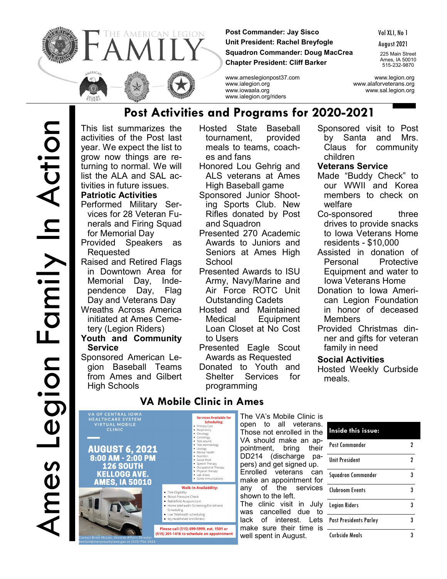

**Post Commander: Jay Sisco Unit President: Rachel Breyfogle Squadron Commander: Doug MacCrea Chapter President: Cliff Barker**

Vol XLI, No 1

August 2021

225 Main Street Ames, IA 50010 515-232-9870

www.ameslegionpost37.com www.legion.org www.ialegion.org www.alaforveterans.org www.iowaala.org www.sal.legion.org www.ialegion.org/riders

This list summarizes the activities of the Post last year. We expect the list to grow now things are returning to normal. We will list the ALA and SAL activities in future issues. **Patriotic Activities Post Activities and Programs for 2020-2021**

- Performed Military Services for 28 Veteran Funerals and Firing Squad for Memorial Day
- Provided Speakers as Requested
- Raised and Retired Flags in Downtown Area for Memorial Day, Independence Day, Flag Day and Veterans Day
- Wreaths Across America initiated at Ames Cemetery (Legion Riders)
- **Youth and Community Service**
- Sponsored American Legion Baseball Teams from Ames and Gilbert High Schools

Hosted State Baseball tournament, provided meals to teams, coaches and fans

- Honored Lou Gehrig and ALS veterans at Ames High Baseball game
- Sponsored Junior Shooting Sports Club. New Rifles donated by Post and Squadron
- Presented 270 Academic Awards to Juniors and Seniors at Ames High **School**
- Presented Awards to ISU Army, Navy/Marine and Air Force ROTC Unit Outstanding Cadets
- Hosted and Maintained Medical Equipment Loan Closet at No Cost to Users
- Presented Eagle Scout Awards as Requested Donated to Youth and Shelter Services for

programming

## Sponsored visit to Post by Santa and Mrs. Claus for community children

## **Veterans Service**

- Made "Buddy Check" to our WWII and Korea members to check on welfare
- Co-sponsored three drives to provide snacks to Iowa Veterans Home residents - \$10,000
- Assisted in donation of Personal Protective Equipment and water to Iowa Veterans Home
- Donation to Iowa American Legion Foundation in honor of deceased Members
- Provided Christmas dinner and gifts for veteran family in need

## **Social Activities**

Hosted Weekly Curbside meals.

VA OF CENTRAL IOWA<br>HEALTHCARE SYSTEM<br>VIRTUAL MOBILE<br>CLINIC **AUGUST 6, 2021** 8:00 AM - 2:00 PM **126 SOUTH KELLOGG AVE.** 



# **VA Mobile Clinic in Ames**

**Services Available for** Scheduling: **Schedulir**<br>Primary Care<br>Respiratory<br>Oncology<br>Cardiology<br>Tele-vound<br>Tele-dermatology

• Tele-dermatology<br>• Mental Health<br>• Nutrition<br>• Social Work<br>• Speech Therapy<br>• Drysical Therapy<br>• Physical Therapy<br>• Lab draws<br>• Some immunizations

**Walk-In Availability:** 

• Tele-Eligibility<br>• Blood Pressure Check · Battlefield Acupuncture • Batterieto Acapuncture<br>• Home telehealth Screening/Enrollment<br>• Live Telehealth scheduling<br>• Live Telehealth scheduling . My HealtheVet enrollmen Please call (515) 699-5999, ext. 1501 or (515) 201-1416 to schedule an appointment The VA's Mobile Clinic is open to all veterans. Those not enrolled in the VA should make an appointment, bring their DD214 (discharge papers) and get signed up. Enrolled veterans can make an appointment for any of the services shown to the left. The clinic visit in July was cancelled due to lack of interest. Lets make sure their time is well spent in August.

| Inside this issue:            |   |
|-------------------------------|---|
| Post Commander                | 2 |
| <b>Unit President</b>         | 2 |
| Squadron Commander            | 3 |
| Clubroom Events               | 3 |
| Legion Riders                 | 3 |
| <b>Past Presidents Parley</b> | 3 |
| <b>Curbside Meals</b>         | 3 |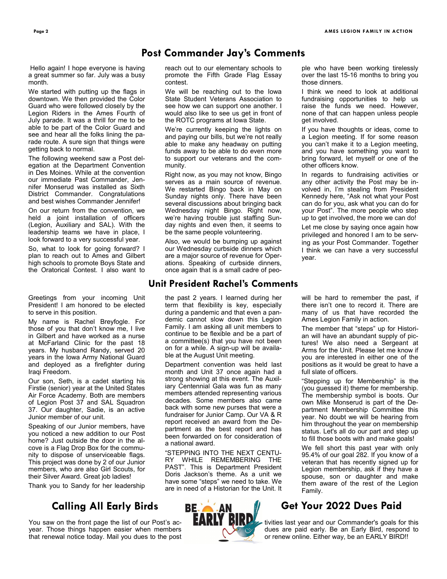Hello again! I hope everyone is having a great summer so far. July was a busy month.

We started with putting up the flags in downtown. We then provided the Color Guard who were followed closely by the Legion Riders in the Ames Fourth of July parade. It was a thrill for me to be able to be part of the Color Guard and see and hear all the folks lining the parade route. A sure sign that things were getting back to normal.

The following weekend saw a Post delegation at the Department Convention in Des Moines. While at the convention our immediate Past Commander, Jennifer Monserud was installed as Sixth District Commander. Congratulations and best wishes Commander Jennifer!

On our return from the convention, we held a joint installation of officers (Legion, Auxiliary and SAL). With the leadership teams we have in place, I look forward to a very successful year.

So, what to look for going forward? I plan to reach out to Ames and Gilbert high schools to promote Boys State and the Oratorical Contest. I also want to

Greetings from your incoming Unit President! I am honored to be elected to serve in this position.

My name is Rachel Breyfogle. For those of you that don't know me, I live in Gilbert and have worked as a nurse at McFarland Clinic for the past 18 years. My husband Randy, served 20 years in the Iowa Army National Guard and deployed as a firefighter during Iraqi Freedom.

Our son, Seth, is a cadet starting his Firstie (senior) year at the United States Air Force Academy. Both are members of Legion Post 37 and SAL Squadron 37. Our daughter, Sadie, is an active Junior member of our unit.

Speaking of our Junior members, have you noticed a new addition to our Post home? Just outside the door in the alcove is a Flag Drop Box for the community to dispose of unserviceable flags. This project was done by 2 of our Junior members, who are also Girl Scouts, for their Silver Award. Great job ladies!

Thank you to Sandy for her leadership

## **Calling All Early Birds**

that renewal notice today. Mail you dues to the post

reach out to our elementary schools to promote the Fifth Grade Flag Essay contest.

**Post Commander Jay's Comments**

We will be reaching out to the Iowa State Student Veterans Association to see how we can support one another. I would also like to see us get in front of the ROTC programs at Iowa State.

We're currently keeping the lights on and paying our bills, but we're not really able to make any headway on putting funds away to be able to do even more to support our veterans and the community.

Right now, as you may not know, Bingo serves as a main source of revenue. We restarted Bingo back in May on Sunday nights only. There have been several discussions about bringing back Wednesday night Bingo. Right now, we're having trouble just staffing Sunday nights and even then, it seems to be the same people volunteering.

Also, we would be bumping up against our Wednesday curbside dinners which are a major source of revenue for Operations. Speaking of curbside dinners, once again that is a small cadre of peo-

### **Unit President Rachel's Comments**

the past 2 years. I learned during her term that flexibility is key, especially during a pandemic and that even a pandemic cannot slow down this Legion Family. I am asking all unit members to continue to be flexible and be a part of a committee(s) that you have not been on for a while. A sign-up will be available at the August Unit meeting.

Department convention was held last month and Unit 37 once again had a strong showing at this event. The Auxiliary Centennial Gala was fun as many members attended representing various decades. Some members also came back with some new purses that were a fundraiser for Junior Camp. Our VA & R report received an award from the Department as the best report and has been forwarded on for consideration of a national award.

"STEPPING INTO THE NEXT CENTU-RY WHILE REMEMBERING THE PAST". This is Department President Doris Jackson's theme. As a unit we have some "steps" we need to take. We are in need of a Historian for the Unit. It



ple who have been working tirelessly over the last 15-16 months to bring you those dinners.

I think we need to look at additional fundraising opportunities to help us raise the funds we need. However, none of that can happen unless people get involved.

If you have thoughts or ideas, come to a Legion meeting. If for some reason you can't make it to a Legion meeting, and you have something you want to bring forward, let myself or one of the other officers know.

In regards to fundraising activities or any other activity the Post may be involved in, I'm stealing from President Kennedy here, "Ask not what your Post can do for you, ask what you can do for your Post". The more people who step up to get involved, the more we can do!

Let me close by saying once again how privileged and honored I am to be serving as your Post Commander. Together I think we can have a very successful year.

will be hard to remember the past, if there isn't one to record it. There are many of us that have recorded the Ames Legion Family in action.

The member that "steps" up for Historian will have an abundant supply of pictures! We also need a Sergeant at Arms for the Unit. Please let me know if you are interested in either one of the positions as it would be great to have a full slate of officers.

"Stepping up for Membership" is the (you guessed it) theme for membership. The membership symbol is boots. Our own Mike Monserud is part of the Department Membership Committee this year. No doubt we will be hearing from him throughout the year on membership status. Let's all do our part and step up to fill those boots with and make goals!

We fell short this past year with only 95.4% of our goal 282. If you know of a veteran that has recently signed up for Legion membership, ask if they have a spouse, son or daughter and make them aware of the rest of the Legion Family.

## **Get Your 2022 Dues Paid**

You saw on the front page the list of our Post's ac-<br>year. Those things happen easier when members dues are paid early. Be an Early Bird, respond to dues are paid early. Be an Early Bird, respond to or renew online. Either way, be an EARLY BIRD!!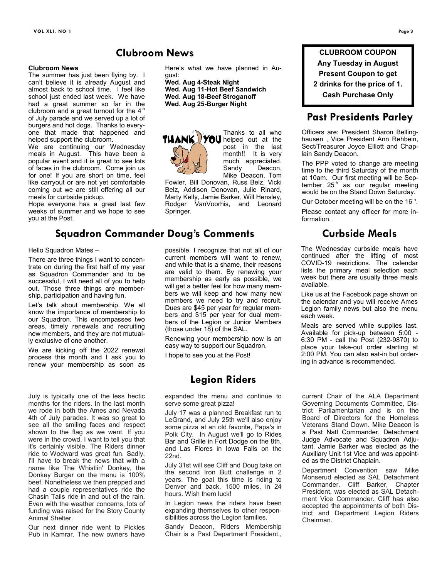#### **Clubroom News**

The summer has just been flying by. I can't believe it is already August and almost back to school time. I feel like school just ended last week. We have had a great summer so far in the clubroom and a great turnout for the  $4<sup>th</sup>$ of July parade and we served up a lot of burgers and hot dogs. Thanks to everyone that made that happened and helped support the clubroom.

We are continuing our Wednesday meals in August. This have been a popular event and it is great to see lots of faces in the clubroom. Come join us for one! If you are short on time, feel like carryout or are not yet comfortable coming out we are still offering all our meals for curbside pickup.

Hope everyone has a great last few weeks of summer and we hope to see you at the Post.

## **Squadron Commander Doug's Comments**

**Clubroom News**

Hello Squadron Mates –

There are three things I want to concentrate on during the first half of my year as Squadron Commander and to be successful, I will need all of you to help out. Those three things are membership, participation and having fun.

Let's talk about membership. We all know the importance of membership to our Squadron. This encompasses two areas, timely renewals and recruiting new members, and they are not mutually exclusive of one another.

We are kicking off the 2022 renewal process this month and I ask you to renew your membership as soon as

July is typically one of the less hectic months for the riders. In the last month we rode in both the Ames and Nevada 4th of July parades. It was so great to see all the smiling faces and respect shown to the flag as we went. If you were in the crowd, I want to tell you that it's certainly visible. The Riders dinner ride to Wodward was great fun. Sadly, I'll have to break the news that with a name like The Whistlin' Donkey, the Donkey Burger on the menu is 100% beef. Nonetheless we then prepped and had a couple representatives ride the Chasin Tails ride in and out of the rain. Even with the weather concerns, lots of funding was raised for the Story County Animal Shelter.

Our next dinner ride went to Pickles Pub in Kamrar. The new owners have Here's what we have planned in August:

**Wed. Aug 4-Steak Night Wed. Aug 11-Hot Beef Sandwich Wed. Aug 18-Beef Stroganoff Wed. Aug 25-Burger Night**



Thanks to all who **THANK YOU** helped out at the post in the last month!! It is very much appreciated.<br>Sandy Deacon. Deacon. Mike Deacon, Tom

Fowler, Bill Donovan, Russ Belz, Vicki Belz, Addison Donovan, Julie Rinard, Marty Kelly, Jamie Barker, Will Hensley, Rodger VanVoorhis, and Leonard Springer.

possible. I recognize that not all of our current members will want to renew, and while that is a shame, their reasons are valid to them. By renewing your membership as early as possible, we will get a better feel for how many members we will keep and how many new members we need to try and recruit. Dues are \$45 per year for regular members and \$15 per year for dual members of the Legion or Junior Members (those under 18) of the SAL.

Renewing your membership now is an easy way to support our Squadron.

I hope to see you at the Post!

## **Legion Riders**

expanded the menu and continue to serve some great pizza!

July 17 was a planned Breakfast run to LeGrand, and July 25th we'll also enjoy some pizza at an old favorite, Papa's in Polk City. In August we'll go to Rides Bar and Grille in Fort Dodge on the 8th, and Las Flores in Iowa Falls on the 22nd.

July 31st will see Cliff and Doug take on the second Iron Butt challenge in 2 years. The goal this time is riding to Denver and back, 1500 miles, in 24 hours. Wish them luck!

In Legion news the riders have been expanding themselves to other responsibilities across the Legion families.

Sandy Deacon, Riders Membership Chair is a Past Department President.,

**CLUBROOM COUPON Any Tuesday in August Present Coupon to get 2 drinks for the price of 1. Cash Purchase Only**

## **Past Presidents Parley**

Officers are: President Sharon Bellinghausen , Vice President Ann Rehbein, Sect/Treasurer Joyce Elliott and Chaplain Sandy Deacon.

The PPP voted to change are meeting time to the third Saturday of the month at 10am. Our first meeting will be September  $25<sup>th</sup>$  as our regular meeting would be on the Stand Down Saturday.

Our October meeting will be on the 16<sup>th</sup>.

Please contact any officer for more information.

# **Curbside Meals**

The Wednesday curbside meals have continued after the lifting of most COVID-19 restrictions. The calendar lists the primary meal selection each week but there are usually three meals available.

Like us at the Facebook page shown on the calendar and you will receive Ames Legion family news but also the menu each week.

Meals are served while supplies last. Available for pick-up between 5:00 - 6:30 PM - call the Post (232-9870) to place your take-out order starting at 2:00 PM. You can also eat-in but ordering in advance is recommended.

current Chair of the ALA Department Governing Documents Committee, District Parliamentarian and is on the Board of Directors for the Homeless Veterans Stand Down. Mike Deacon is a Past Natl Commander, Detachment Judge Advocate and Squadron Adjutant. Jamie Barker was elected as the Auxiliary Unit 1st Vice and was appointed as the District Chaplain.

Department Convention saw Mike Monserud elected as SAL Detachment Commander. Cliff Barker, Chapter President, was elected as SAL Detachment Vice Commander. Cliff has also accepted the appointments of both District and Department Legion Riders Chairman.